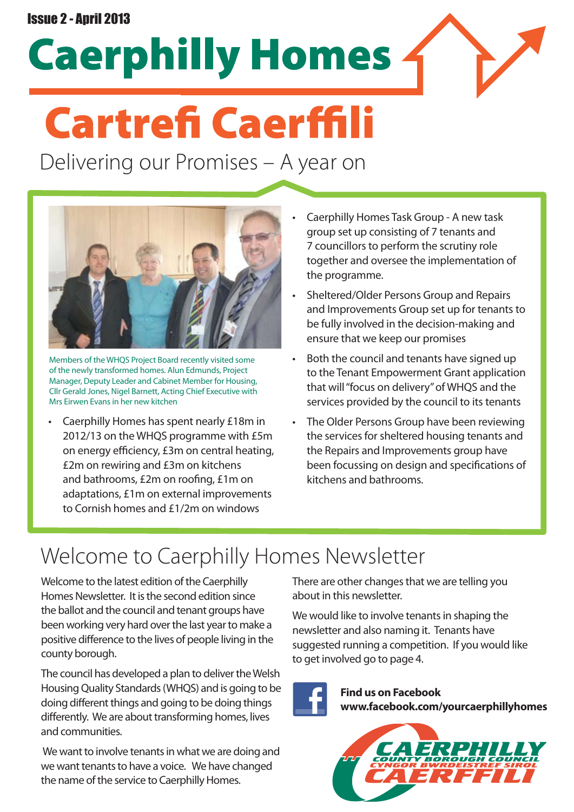### Issue 2 - April 2013

**Caerphilly Homes** 

# **Cartrefi Caerffili**

Delivering our Promises – A year on



Members of the WHQS Project Board recently visited some of the newly transformed homes. Alun Edmunds, Project Manager, Deputy Leader and Cabinet Member for Housing, Cllr Gerald Jones, Nigel Barnett, Acting Chief Executive with Mrs Eirwen Evans in her new kitchen

Caerphilly Homes has spent nearly £18m in 2012/13 on the WHQS programme with £5m on energy efficiency, £3m on central heating, £2m on rewiring and £3m on kitchens and bathrooms, £2m on roofing, £1m on adaptations, £1m on external improvements to Cornish homes and £1/2m on windows

- Caerphilly Homes Task Group A new task group set up consisting of 7 tenants and 7 councillors to perform the scrutiny role together and oversee the implementation of the programme.
- • Sheltered/Older Persons Group and Repairs and Improvements Group set up for tenants to be fully involved in the decision-making and ensure that we keep our promises
- • Both the council and tenants have signed up to the Tenant Empowerment Grant application that will"focus on delivery"of WHQS and the services provided by the council to its tenants
- The Older Persons Group have been reviewing the services for sheltered housing tenants and the Repairs and Improvements group have been focussing on design and specifications of kitchens and bathrooms.

# Welcome to Caerphilly Homes Newsletter

Welcome to the latest edition of the Caerphilly Homes Newsletter. It is the second edition since the ballot and the council and tenant groups have been working very hard over the last year to make a positive difference to the lives of people living in the county borough.

The council has developed a plan to deliver the Welsh HousingQuality Standards(WHQS) and is going to be doing different things and going to be doing things differently. We are about transforming homes, lives and communities.

We want to involve tenants in what we are doing and we want tenants to have a voice. We have changed the name of the service to Caerphilly Homes.

There are other changes that we are telling you about in this newsletter.

We would like to involve tenants in shaping the newsletter and also naming it. Tenants have suggested running a competition. If you would like to get involved go to page 4.



**Find us on Facebook www.facebook.com/yourcaerphillyhomes**

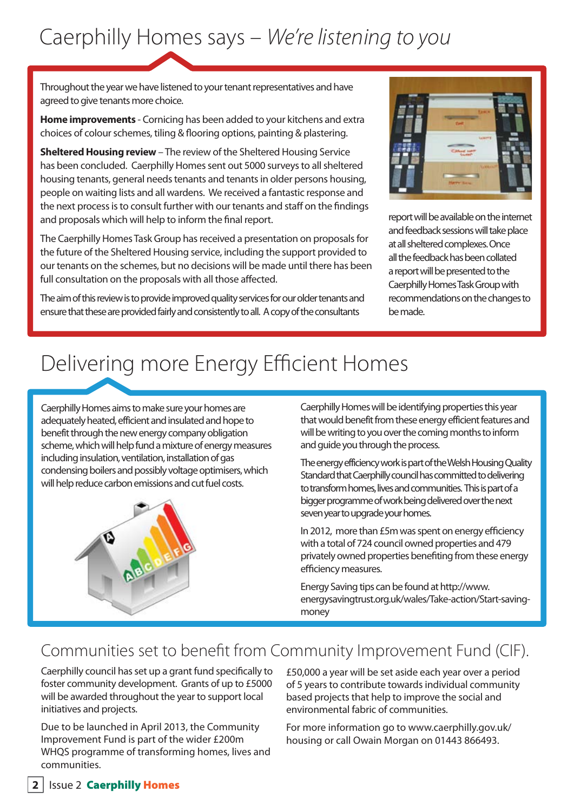# Caerphilly Homes says – *We're listening to you*

Throughout the year we have listened to your tenant representatives and have agreed to give tenants more choice.

**Home improvements** - Cornicing has been added to your kitchens and extra choices of colour schemes, tiling & flooring options, painting & plastering.

**Sheltered Housing review** – The review of the Sheltered Housing Service has been concluded. Caerphilly Homes sent out 5000 surveys to all sheltered housing tenants, general needs tenants and tenants in older persons housing, people on waiting lists and all wardens. We received a fantastic response and the next process is to consult further with our tenants and staff on the findings and proposals which will help to inform the final report.

The Caerphilly Homes Task Group has received a presentation on proposals for the future of the Sheltered Housing service, including the support provided to our tenants on the schemes, but no decisions will be made until there has been full consultation on the proposals with all those affected.

The aim of this review is to provide improved quality services for our older tenants and ensure that these are provided fairly and consistently to all. A copy of the consultants



report will be available on the internet and feedback sessions will take place at all sheltered complexes. Once all the feedback has been collated a report will be presented to the Caerphilly Homes Task Group with recommendations on the changes to be made.

# Delivering more Energy Efficient Homes

Caerphilly Homes aims to make sure your homes are adequately heated, efficient and insulated and hope to benefit through the new energy company obligation scheme, which will help fund a mixture of energy measures including insulation, ventilation, installation of gas condensing boilers and possibly voltage optimisers, which will help reduce carbon emissions and cut fuel costs.



Caerphilly Homes will be identifying properties this year that would benefit from these energy efficient features and will be writing to you over the coming months to inform and guide you through the process.

The energy efficiency work is part of the Welsh Housing Quality Standard that Caerphilly council has committed to delivering to transform homes, lives and communities. This is part of a bigger programme of work being delivered over the next seven year to upgrade your homes.

In 2012, more than £5m was spent on energy efficiency with a total of 724 council owned properties and 479 privately owned properties benefiting from these energy efficiency measures.

Energy Saving tips can be found at http://www. energysavingtrust.org.uk/wales/Take-action/Start-savingmoney

### Communities set to benefit from Community Improvement Fund (CIF).

Caerphilly council has set up a grant fund specifically to foster community development. Grants of up to £5000 will be awarded throughout the year to support local initiatives and projects.

Due to be launched in April 2013, the Community Improvement Fund is part of the wider £200m WHQS programme of transforming homes, lives and communities.

£50,000 a year will be set aside each year over a period of 5 years to contribute towards individual community based projects that help to improve the social and environmental fabric of communities.

For more information go to www.caerphilly.gov.uk/ housing or call Owain Morgan on 01443 866493.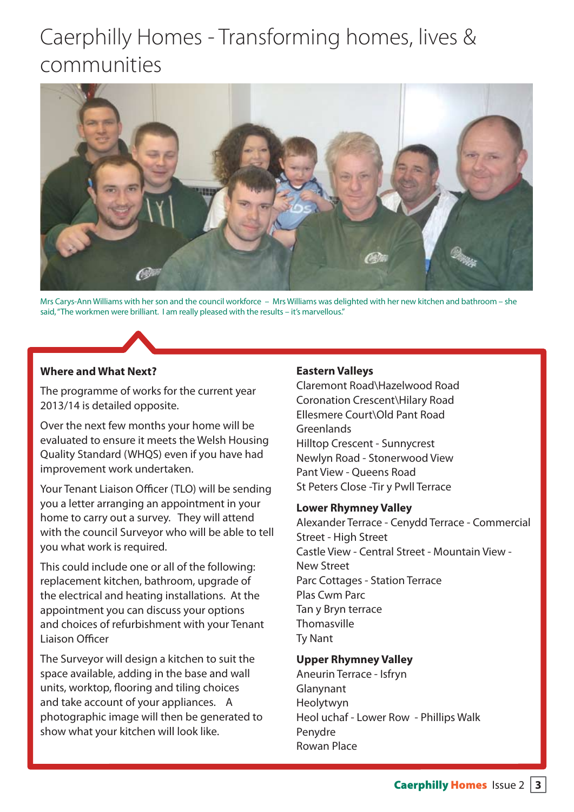# Caerphilly Homes - Transforming homes, lives & communities



Mrs Carys-Ann Williams with herson and the council workforce – Mrs Williams was delighted with her new kitchen and bathroom – she said, "The workmen were brilliant. I am really pleased with the results - it's marvellous."

### **Where and What Next?**

The programme of works for the current year 2013/14 is detailed opposite.

Over the next few months your home will be evaluated to ensure it meets the Welsh Housing Quality Standard (WHQS) even if you have had improvement work undertaken.

Your Tenant Liaison Officer (TLO) will be sending you a letter arranging an appointment in your home to carry out a survey. They will attend with the council Surveyor who will be able to tell you what work is required.

This could include one or all of the following: replacement kitchen, bathroom, upgrade of the electrical and heating installations. At the appointment you can discuss your options and choices of refurbishment with your Tenant Liaison Officer

The Surveyor will design a kitchen to suit the space available, adding in the base and wall units, worktop, flooring and tiling choices and take account of your appliances. A photographic image will then be generated to show what your kitchen will look like.

### **Eastern Valleys**

Claremont Road\Hazelwood Road Coronation Crescent\Hilary Road Ellesmere Court\Old Pant Road Greenlands Hilltop Crescent - Sunnycrest Newlyn Road - Stonerwood View Pant View - Queens Road St Peters Close -Tir y Pwll Terrace

#### **Lower Rhymney Valley**

Alexander Terrace - Cenydd Terrace - Commercial Street - High Street Castle View - Central Street - Mountain View - New Street Parc Cottages - Station Terrace Plas Cwm Parc Tan y Bryn terrace **Thomasville** Ty Nant

#### **Upper Rhymney Valley**

Aneurin Terrace - Isfryn Glanynant Heolytwyn Heol uchaf - Lower Row - Phillips Walk Penydre Rowan Place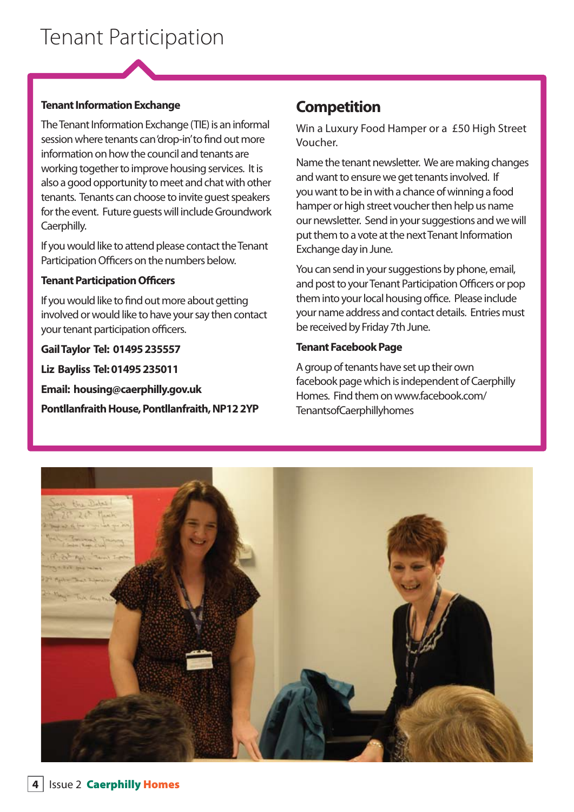### **Tenant Information Exchange**

The Tenant Information Exchange (TIE) is an informal session where tenants can'drop-in'to find out more information on how the council and tenants are working together to improve housing services. It is also a good opportunity to meet and chat with other tenants. Tenants can choose to invite quest speakers for the event. Future quests will include Groundwork Caerphilly.

If you would like to attend please contact the Tenant Participation Officers on the numbers below.

### **Tenant Participation Officers**

If you would like to find out more about getting involved or would like to have your say then contact your tenant participation officers.

### **Gail Taylor Tel: 01495 235557**

**Liz Bayliss Tel: 01495 235011**

**Email: housing@caerphilly.gov.uk**

**Pontllanfraith House, Pontllanfraith, NP12 2YP**

### **Competition**

Win a Luxury Food Hamper or a £50 High Street Voucher.

Name the tenant newsletter. We are making changes and want to ensure we get tenants involved. If you want to be in with a chance of winning a food hamper or high street voucher then help us name our newsletter. Send in your suggestions and we will put them to a vote at the next Tenant Information Exchange day in June.

You can send in your suggestions by phone, email, and post to your Tenant Participation Officers or pop them into your local housing office. Please include your name address and contact details. Entries must be received by Friday 7th June.

### **Tenant Facebook Page**

A group of tenants have set up their own facebook page which is independent of Caerphilly Homes. Find them on www.facebook.com/ TenantsofCaerphillyhomes

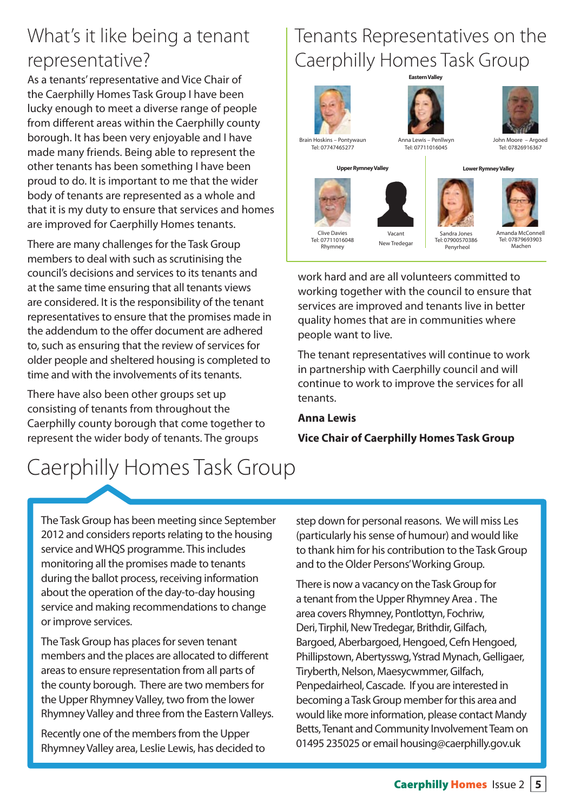### What's it like being a tenant representative?

As a tenants'representative and Vice Chair of the Caerphilly Homes Task Group I have been lucky enough to meet a diverse range of people from different areas within the Caerphilly county borough. It has been very enjoyable and I have made many friends. Being able to represent the other tenants has been something I have been proud to do. It is important to me that the wider body of tenants are represented as a whole and that it is my duty to ensure that services and homes are improved for Caerphilly Homes tenants.

There are many challenges for the Task Group members to deal with such as scrutinising the council's decisions and services to its tenants and at the same time ensuring that all tenants views are considered. It is the responsibility of the tenant representatives to ensure that the promises made in the addendum to the offer document are adhered to, such as ensuring that the review of services for older people and sheltered housing is completed to time and with the involvements of its tenants.

There have also been other groups set up consisting of tenants from throughout the Caerphilly county borough that come together to represent the wider body of tenants. The groups

# Caerphilly Homes Task Group

### Tenants Representatives on the Caerphilly Homes Task Group



Clive Davies Tel: 07711016048 Rhymney





Tel: 07747465277

Anna Lewis – Penllwyn Tel: 07711016045

John Moore – Argoed Tel: 07826916367

**Upper Rymney Valley Lower Rymney Valley**



Sandra Jones Tel: 07900570386 Penyrheol

Amanda McConnell Tel: 07879693903 Machen

work hard and are all volunteers committed to working together with the council to ensure that services are improved and tenants live in better quality homes that are in communities where people want to live.

Vacant New Tredegar

The tenant representatives will continue to work in partnership with Caerphilly council and will continue to work to improve the services for all tenants.

### **Anna Lewis**

**Vice Chair of Caerphilly Homes Task Group**

The Task Group has been meeting since September 2012 and considers reports relating to the housing service and WHQS programme. This includes monitoring all the promises made to tenants during the ballot process, receiving information about the operation of the day-to-day housing service and making recommendations to change or improve services.

The Task Group has places for seven tenant members and the places are allocated to different areasto ensure representation from all parts of the county borough. There are two members for the Upper Rhymney Valley, two from the lower Rhymney Valley and three from the Eastern Valleys.

Recently one of the members from the Upper RhymneyValley area, Leslie Lewis, has decided to step down for personal reasons. We will miss Les (particularly hissense of humour) and would like to thank him for his contribution to the Task Group and to the Older Persons' Working Group.

There is now a vacancy on the Task Group for a tenant from the Upper Rhymney Area. The area covers Rhymney, Pontlottyn, Fochriw, Deri, Tirphil, New Tredegar, Brithdir, Gilfach, Bargoed, Aberbargoed, Hengoed, Cefn Hengoed, Phillipstown, Abertysswg, Ystrad Mynach, Gelligaer, Tiryberth, Nelson, Maesycwmmer, Gilfach, Penpedairheol, Cascade. If you are interested in becoming a Task Group member for this area and would like more information, please contact Mandy Betts, Tenant and Community Involvement Team on 01495 235025 or email housing@caerphilly.gov.uk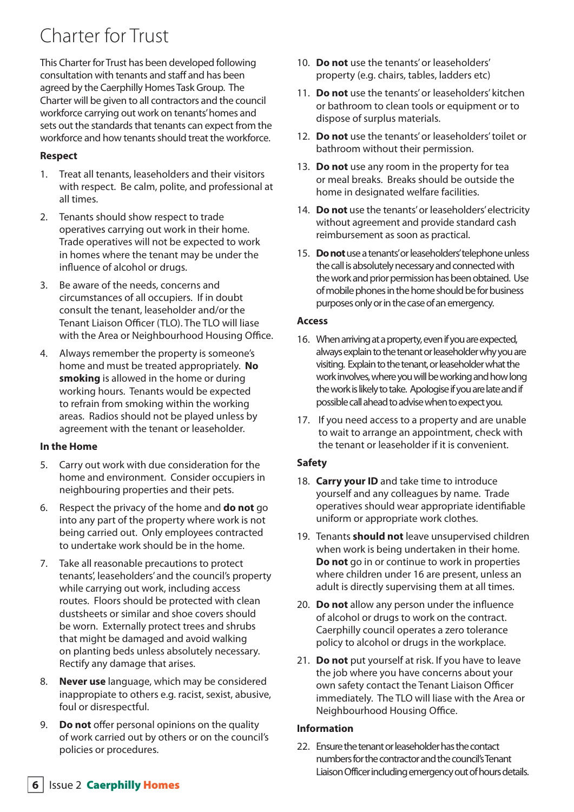## Charter for Trust

This Charter for Trust has been developed following consultation with tenants and staff and has been agreed by the Caerphilly Homes Task Group. The Charter will be given to all contractors and the council workforce carrying out work on tenants'homes and sets out the standards that tenants can expect from the workforce and how tenants should treat the workforce.

### **Respect**

- 1. Treat all tenants, leaseholders and their visitors with respect. Be calm, polite, and professional at all times.
- 2. Tenants should show respect to trade operatives carrying out work in their home. Trade operatives will not be expected to work in homes where the tenant may be under the influence of alcohol or drugs.
- 3. Be aware of the needs, concerns and circumstances of all occupiers. If in doubt consult the tenant, leaseholder and/or the Tenant Liaison Officer (TLO). The TLO will liase with the Area or Neighbourhood Housing Office.
- 4. Always remember the property is someone's home and must be treated appropriately. **No smoking** is allowed in the home or during working hours. Tenants would be expected to refrain from smoking within the working areas. Radios should not be played unless by agreement with the tenant or leaseholder.

### **In the Home**

- 5. Carry out work with due consideration for the home and environment. Consider occupiers in neighbouring properties and their pets.
- 6. Respect the privacy of the home and **do not** go into any part of the property where work is not being carried out. Only employees contracted to undertake work should be in the home.
- 7. Take all reasonable precautions to protect tenants', leaseholders' and the council's property while carrying out work, including access routes. Floors should be protected with clean dustsheets or similar and shoe covers should be worn. Externally protect trees and shrubs that might be damaged and avoid walking on planting beds unless absolutely necessary. Rectify any damage that arises.
- 8. **Never use** language, which may be considered inappropiate to others e.g. racist, sexist, abusive, foul or disrespectful.
- 9. **Do not** offer personal opinions on the quality of work carried out by others or on the council's policies or procedures.
- 10. **Do not** use the tenants'or leaseholders' property (e.g. chairs, tables, ladders etc)
- 11. **Do not** use the tenants'or leaseholders' kitchen or bathroom to clean tools or equipment or to dispose of surplus materials.
- 12. **Do not** use the tenants'or leaseholders'toilet or bathroom without their permission.
- 13. **Do not** use any room in the property for tea or meal breaks. Breaks should be outside the home in designated welfare facilities.
- 14. **Do not** use the tenants'or leaseholders'electricity without agreement and provide standard cash reimbursement as soon as practical.
- 15. **Do not** use a tenants' or leaseholders' telephone unless the call is absolutely necessary and connected with the work and prior permission has been obtained. Use of mobile phones in the home should be for business purposes only or in the case of an emergency.

### **Access**

- 16. When arriving at a property, even if you are expected, always explain to the tenant or leaseholder why you are visiting. Explain to the tenant, or leaseholder what the work involves, where you will be working and how long the work is likely to take. Apologise if you are late and if possible call ahead to advise when to expect you.
- 17. If you need access to a property and are unable to wait to arrange an appointment, check with the tenant or leaseholder if it is convenient.

### **Safety**

- 18. **Carry your ID** and take time to introduce yourself and any colleagues by name. Trade operatives should wear appropriate identifiable uniform or appropriate work clothes.
- 19. Tenants **should not** leave unsupervised children when work is being undertaken in their home. **Do not** go in or continue to work in properties where children under 16 are present, unless an adult is directly supervising them at all times.
- 20. **Do not** allow any person under the influence of alcohol or drugs to work on the contract. Caerphilly council operates a zero tolerance policy to alcohol or drugs in the workplace.
- 21. **Do not** put yourself at risk. If you have to leave the job where you have concerns about your own safety contact the Tenant Liaison Officer immediately. The TLO will liase with the Area or Neighbourhood Housing office.

### **Information**

22. Ensure the tenant or leaseholder has the contact numbers for the contractor and the council's Tenant Liaison Officer including emergency out of hours details.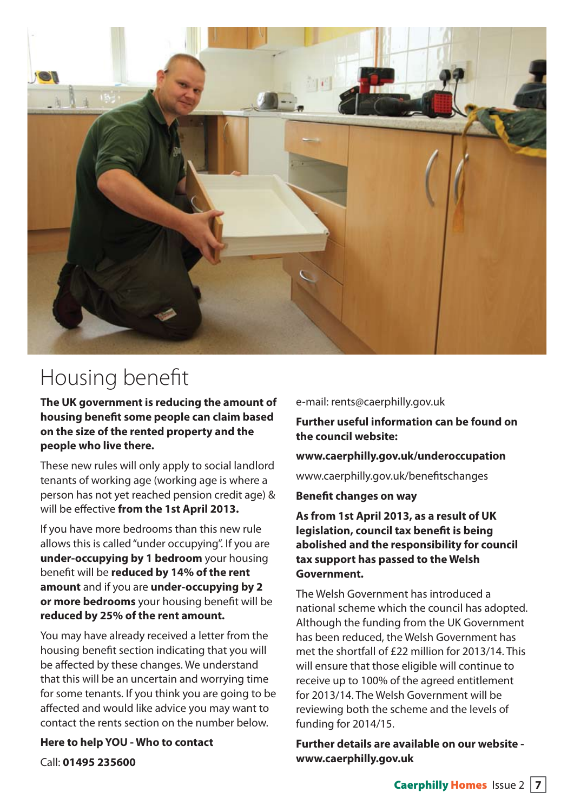

# Housing benefit

**The UK government is reducing the amount of housing benefit some people can claim based on the size of the rented property and the people who live there.**

These new rules will only apply to social landlord tenants of working age (working age is where a person has not yet reached pension credit age) & will be effective **from the 1st April 2013.** 

If you have more bedrooms than this new rule allows this is called"under occupying". If you are **under-occupying by 1 bedroom** your housing benefit will be **reduced by 14% of the rent amount** and if you are **under-occupying by 2 or more bedrooms** your housing benefit will be **reduced by 25% of the rent amount.**

You may have already received a letter from the housing benefit section indicating that you will be affected by these changes. We understand that this will be an uncertain and worrying time for some tenants. If you think you are going to be affected and would like advice you may want to contact the rents section on the number below.

**Here to help YOU - Who to contact** Call: **01495 235600**

### e-mail: rents@caerphilly.gov.uk

**Further useful information can be found on the council website:**

### **www.caerphilly.gov.uk/underoccupation**

www.caerphilly.gov.uk/benefitschanges

### **Benefit changes on way**

**As from 1st April 2013, as a result of UK legislation, council tax benefit is being abolished and the responsibility for council tax support has passed to the Welsh Government.** 

The Welsh Government has introduced a national scheme which the council has adopted. Although the funding from the UK Government has been reduced, the Welsh Government has met the shortfall of £22 million for 2013/14. This will ensure that those eligible will continue to receive up to 100% of the agreed entitlement for 2013/14. The Welsh Government will be reviewing both the scheme and the levels of funding for 2014/15.

**Further details are available on our website www.caerphilly.gov.uk**